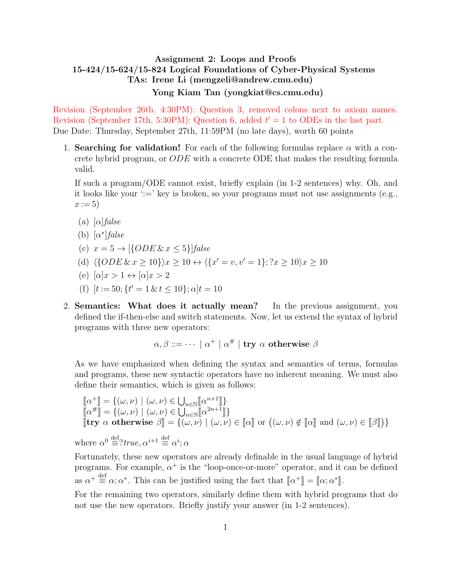## Assignment 2: Loops and Proofs 15-424/15-624/15-824 Logical Foundations of Cyber-Physical Systems TAs: Irene Li (mengzeli@andrew.cmu.edu) Yong Kiam Tan (yongkiat@cs.cmu.edu)

Revision (September 26th, 4:30PM): Question 3, removed colons next to axiom names. Revision (September 17th, 5:30PM): Question 6, added  $t' = 1$  to ODEs in the last part. Due Date: Thursday, September 27th, 11:59PM (no late days), worth 60 points

1. Searching for validation! For each of the following formulas replace  $\alpha$  with a concrete hybrid program, or ODE with a concrete ODE that makes the resulting formula valid.

If such a program/ODE cannot exist, briefly explain (in 1-2 sentences) why. Oh, and it looks like your ':=' key is broken, so your programs must not use assignments (e.g.,  $x := 5$ )

- (a)  $[\alpha]$ *false*
- (b)  $[\alpha^*]$ *false*
- (c)  $x = 5 \rightarrow [ \{ODE \& x \leq 5 \} ]$ false
- (d)  $\langle \{ODE \& x \ge 10 \} \rangle x \ge 10 \leftrightarrow \langle \{x' = v, v' = 1 \}; ?x \ge 10 \rangle x \ge 10$
- (e)  $\alpha |x > 1 \leftrightarrow \alpha |x > 2$
- (f)  $[t := 50; \{t' = 1 \& t \le 10\}; \alpha]t = 10$
- 2. Semantics: What does it actually mean? In the previous assignment, you defined the if-then-else and switch statements. Now, let us extend the syntax of hybrid programs with three new operators:

$$
\alpha, \beta ::= \cdots | \alpha^+ | \alpha^{\#} |
$$
 try  $\alpha$  otherwise  $\beta$ 

As we have emphasized when defining the syntax and semantics of terms, formulas and programs, these new syntactic operators have no inherent meaning. We must also define their semantics, which is given as follows:

$$
\begin{array}{l}\n\llbracket \alpha^+ \rrbracket = \{ (\omega, \nu) \mid (\omega, \nu) \in \bigcup_{n \in \mathbb{N}} \llbracket \alpha^{n+1} \rrbracket \} \\
\llbracket \alpha^{\#} \rrbracket = \{ (\omega, \nu) \mid (\omega, \nu) \in \bigcup_{n \in \mathbb{N}} \llbracket \alpha^{2n+1} \rrbracket \} \\
\llbracket \text{try } \alpha \text{ otherwise } \beta \rrbracket = \{ (\omega, \nu) \mid (\omega, \nu) \in \llbracket \alpha \rrbracket \} \text{ or } \big( (\omega, \nu) \notin \llbracket \alpha \rrbracket \text{ and } (\omega, \nu) \in \llbracket \beta \rrbracket \} \}\n\end{array}
$$

where  $\alpha^0 \stackrel{\text{def}}{=} ? \text{true}, \alpha^{i+1} \stackrel{\text{def}}{=} \alpha^i; \alpha$ 

Fortunately, these new operators are already definable in the usual language of hybrid programs. For example,  $\alpha^+$  is the "loop-once-or-more" operator, and it can be defined as  $\alpha^+ \stackrel{\text{def}}{=} \alpha; \alpha^*$ . This can be justified using the fact that  $[\![\alpha^+]\!] = [\![\alpha; \alpha^*]\!]$ .

For the remaining two operators, similarly define them with hybrid programs that do not use the new operators. Briefly justify your answer (in 1-2 sentences).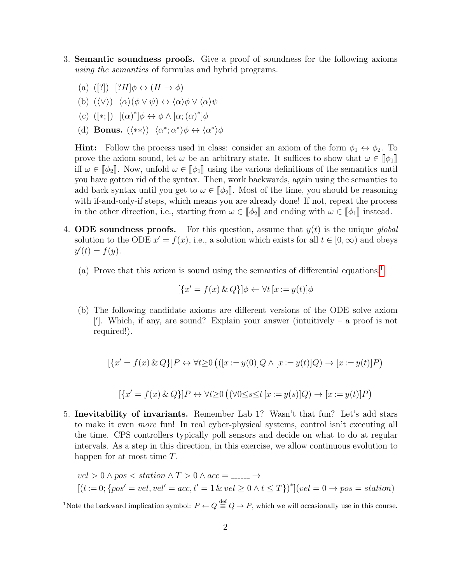- 3. Semantic soundness proofs. Give a proof of soundness for the following axioms using the semantics of formulas and hybrid programs.
	- (a) ([?])  $[?H] \phi \leftrightarrow (H \rightarrow \phi)$
	- (b)  $(\langle \vee \rangle) \langle \alpha \rangle (\phi \vee \psi) \leftrightarrow \langle \alpha \rangle \phi \vee \langle \alpha \rangle \psi$
	- (c)  $([\ast;]) \left[ (\alpha)^* \middle] \phi \leftrightarrow \phi \wedge [\alpha; (\alpha)^*] \phi$
	- (d) Bonus.  $(\langle \ast \ast \rangle) \langle \alpha^*; \alpha^* \rangle \phi \leftrightarrow \langle \alpha^* \rangle \phi$

**Hint:** Follow the process used in class: consider an axiom of the form  $\phi_1 \leftrightarrow \phi_2$ . To prove the axiom sound, let  $\omega$  be an arbitrary state. It suffices to show that  $\omega \in [\![\phi_1]\!]$ iff  $\omega \in [\![\phi_2]\!]$ . Now, unfold  $\omega \in [\![\phi_1]\!]$  using the various definitions of the semantics until you have gotten rid of the syntax. Then, work backwards, again using the semantics to add back syntax until you get to  $\omega \in [\![\phi_2]\!]$ . Most of the time, you should be reasoning with if-and-only-if steps, which means you are already done! If not, repeat the process in the other direction, i.e., starting from  $\omega \in [\![\phi_2]\!]$  and ending with  $\omega \in [\![\phi_1]\!]$  instead.

- 4. ODE soundness proofs. For this question, assume that  $y(t)$  is the unique global solution to the ODE  $x' = f(x)$ , i.e., a solution which exists for all  $t \in [0, \infty)$  and obeys  $y'(t) = f(y).$ 
	- (a) Prove that this axiom is sound using the semantics of differential equations:<sup>[1](#page-1-0)</sup>

$$
[\{x' = f(x) \& Q\}]\phi \leftarrow \forall t \ [x := y(t)]\phi
$$

(b) The following candidate axioms are different versions of the ODE solve axiom [']. Which, if any, are sound? Explain your answer (intuitively – a proof is not required!).

$$
[\{x' = f(x) \& Q\}]P \leftrightarrow \forall t \ge 0 \left( ([x := y(0)]Q \land [x := y(t)]Q \right) \rightarrow [x := y(t)]P \right)
$$

$$
[\{x' = f(x) \& Q\}]P \leftrightarrow \forall t \ge 0 \left( (\forall 0 \le s \le t \ [x := y(s)]Q) \rightarrow [x := y(t)]P \right)
$$

5. Inevitability of invariants. Remember Lab 1? Wasn't that fun? Let's add stars to make it even more fun! In real cyber-physical systems, control isn't executing all the time. CPS controllers typically poll sensors and decide on what to do at regular intervals. As a step in this direction, in this exercise, we allow continuous evolution to happen for at most time T.

$$
vel > 0 \land pos < station \land T > 0 \land acc = \dots \to
$$
  
[(t := 0; {pos' = vel, vel' = acc, t' = 1 & vel \ge 0 \land t \le T})<sup>\*</sup>](vel = 0 \to pos = station)

<span id="page-1-0"></span><sup>1</sup>Note the backward implication symbol:  $P \leftarrow Q \stackrel{\text{def}}{=} Q \rightarrow P$ , which we will occasionally use in this course.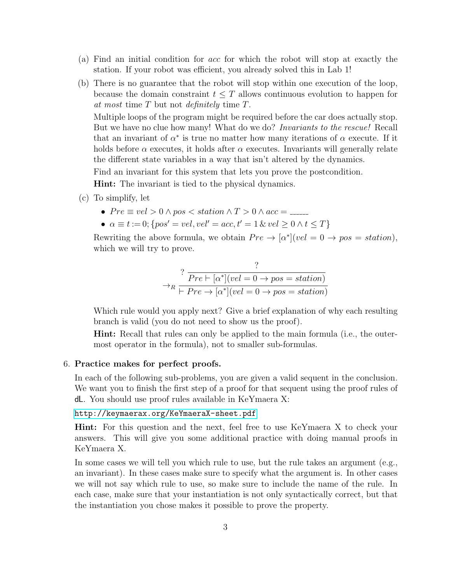- (a) Find an initial condition for acc for which the robot will stop at exactly the station. If your robot was efficient, you already solved this in Lab 1!
- (b) There is no guarantee that the robot will stop within one execution of the loop, because the domain constraint  $t \leq T$  allows continuous evolution to happen for at most time T but not definitely time T.

Multiple loops of the program might be required before the car does actually stop. But we have no clue how many! What do we do? *Invariants to the rescue!* Recall that an invariant of  $\alpha^*$  is true no matter how many iterations of  $\alpha$  execute. If it holds before  $\alpha$  executes, it holds after  $\alpha$  executes. Invariants will generally relate the different state variables in a way that isn't altered by the dynamics.

Find an invariant for this system that lets you prove the postcondition.

Hint: The invariant is tied to the physical dynamics.

- (c) To simplify, let
	- $Pre \equiv vel > 0 \land pos < station \land T > 0 \land acc =$
	- $\alpha \equiv t := 0$ ; { $pos' = vel, vel' = acc, t' = 1$  &  $vel > 0 \land t < T$ }

Rewriting the above formula, we obtain  $Pre \to [\alpha^*] (vel = 0 \to pos = station),$ which we will try to prove.

$$
\rightarrow_R \frac{?}{\left| Pre \mapsto [\alpha^*] (vel = 0 \rightarrow pos = station) \right|}
$$
  

$$
\rightarrow_R \frac{?}{\left| Pre \rightarrow [\alpha^*] (vel = 0 \rightarrow pos = station) \right|}
$$

Which rule would you apply next? Give a brief explanation of why each resulting branch is valid (you do not need to show us the proof).

Hint: Recall that rules can only be applied to the main formula (i.e., the outermost operator in the formula), not to smaller sub-formulas.

## 6. Practice makes for perfect proofs.

In each of the following sub-problems, you are given a valid sequent in the conclusion. We want you to finish the first step of a proof for that sequent using the proof rules of dL. You should use proof rules available in KeYmaera X:

## <http://keymaerax.org/KeYmaeraX-sheet.pdf>

Hint: For this question and the next, feel free to use KeYmaera X to check your answers. This will give you some additional practice with doing manual proofs in KeYmaera X.

In some cases we will tell you which rule to use, but the rule takes an argument (e.g., an invariant). In these cases make sure to specify what the argument is. In other cases we will not say which rule to use, so make sure to include the name of the rule. In each case, make sure that your instantiation is not only syntactically correct, but that the instantiation you chose makes it possible to prove the property.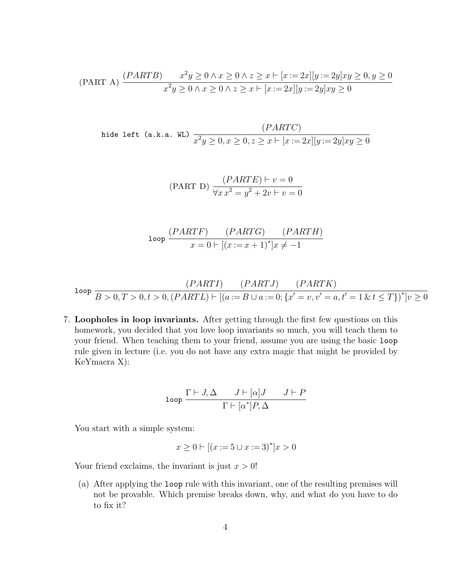$$
\text{(PART A)} \frac{(PARTB) - x^2y \ge 0 \land x \ge 0 \land z \ge x \vdash [x := 2x][y := 2y]xy \ge 0, y \ge 0}{x^2y \ge 0 \land x \ge 0 \land z \ge x \vdash [x := 2x][y := 2y]xy \ge 0}
$$

hide left (a.k.a. WL)

\n
$$
\frac{(PARTC)}{x^2y \geq 0, x \geq 0, z \geq x \vdash [x := 2x][y := 2y]xy \geq 0}
$$

(PART D) 
$$
\frac{(PARTE) \vdash v = 0}{\forall x \, x^2 = y^2 + 2v \vdash v = 0}
$$

$$
\text{loop } \frac{(PARTF) \qquad (PARTG) \qquad (PARTH)}{x = 0 \mid [(x := x + 1)^*]x \neq -1}
$$

loop 
$$
\frac{(PARTI) - (PARTJ) - (PARTK))}{B > 0, T > 0, t > 0, (PARTL) \vdash [(a := B \cup a := 0; \{x' = v, v' = a, t' = 1 \& t \le T\})^*]v \ge 0}
$$

7. Loopholes in loop invariants. After getting through the first few questions on this homework, you decided that you love loop invariants so much, you will teach them to your friend. When teaching them to your friend, assume you are using the basic loop rule given in lecture (i.e. you do not have any extra magic that might be provided by KeYmaera X):

$$
\text{loop } \frac{\Gamma \vdash J, \Delta \qquad J \vdash [\alpha]J \qquad J \vdash P}{\Gamma \vdash [\alpha^*]P, \Delta}
$$

You start with a simple system:

$$
x \ge 0 \vdash [(x := 5 \cup x := 3)^*]x > 0
$$

Your friend exclaims, the invariant is just  $x > 0$ !

(a) After applying the loop rule with this invariant, one of the resulting premises will not be provable. Which premise breaks down, why, and what do you have to do to fix it?